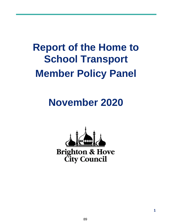# **Report of the Home to School Transport Member Policy Panel**

# **November 2020**

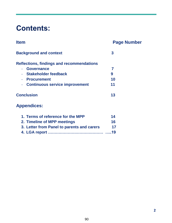## **Contents:**

| <b>Item</b>                                      | <b>Page Number</b> |
|--------------------------------------------------|--------------------|
| <b>Background and context</b>                    | 3                  |
| <b>Reflections, findings and recommendations</b> |                    |
| <b>Governance</b>                                | 7                  |
| <b>Stakeholder feedback</b>                      | 9                  |
| <b>Procurement</b>                               | 10                 |
| - Continuous service improvement                 | 11                 |
| <b>Conclusion</b>                                | 13                 |
| <b>Appendices:</b>                               |                    |
| 1. Terms of reference for the MPP                | 14                 |
| 2. Timeline of MPP meetings                      | 16                 |

**3. Letter from Panel to parents and carers 17 4. LGA report …………………………………… …..19**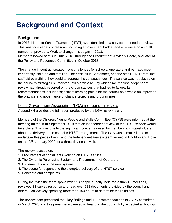## **Background and Context**

#### **Background**

In 2017, Home to School Transport (HTST) was identified as a service that needed review. This was for a variety of reasons, including an overspent budget and a reliance on a small number of providers. Work to change this began in 2018.

Members looked at this in June 2018, through the Procurement Advisory Board, and later at the Policy and Resources Committee in October 2018.

The change in contract created huge challenges for schools, operators and perhaps most importantly, children and families. The crisis hit in September, and the small HTST front-line staff did everything they could to address the consequences. The service was not placed on the council's strategic risk register until March 2020, by which time the first independent review had already reported on the circumstances that had led to failure. Its recommendations included significant learning points for the council as a whole on improving the practice and governance of change projects and programmes.

#### Local Government Association (LGA) independent review

Appendix 4 provides the full report produced by the LGA review team.

Members of the Children, Young People and Skills Committee (CYPS) were informed at their meeting on the 16th September 2019 that an independent review of the HTST service would take place. This was due to the significant concerns raised by members and stakeholders about the delivery of the council's HTST arrangements. The LGA was commissioned to undertake this piece of work and the Independent Review team arrived in Brighton and Hove on the 28<sup>th</sup> January 2020 for a three-day onsite visit.

The review focused on:

- 1. Procurement of consultants working on HTST service
- 2. The Dynamic Purchasing System and Procurement of Operators
- 3. Implementation of the new system
- 4. The council's response to the disrupted delivery of the HTST service
- 5. Concerns and complaints

During their visit the team spoke with 113 people directly, held more than 40 meetings, reviewed 33 survey response and read over 288 documents provided by the council and others – collectively spending more than 150 hours to determine their findings.

The review team presented their key findings and 10 recommendations to CYPS committee in March 2020 and this panel were pleased to hear that the council fully accepted all findings.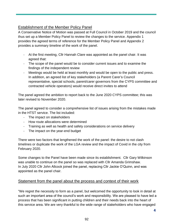#### Establishment of the Member Policy Panel

A Conservative Notice of Motion was passed at Full Council in October 2019 and the council thus set up a Member Policy Panel to review the changes to the service. Appendix 1 provides the agreed terms of reference for the Member Policy Panel and Appendix 2 provides a summary timeline of the work of the panel.

- At the first meeting, Cllr Hannah Clare was appointed as the panel chair. It was agreed that:
- The scope of the panel would be to consider current issues and to examine the findings of the independent review
- Meetings would be held at least monthly and would be open to the public and press. In addition, an agreed list of key stakeholders (a Parent Carer's Council representative, special schools, parent/carer governors from the CYPS committee and contracted vehicle operators) would receive direct invites to attend

The panel agreed the ambition to report back to the June 2020 CYPS committee; this was later revised to November 2020.

The panel agreed to consider a comprehensive list of issues arising from the mistakes made in the HTST service. The list included:

- The impact on stakeholders
- How route allocations were determined
- Training as well as health and safety considerations on service delivery
- The impact on the year-end budget

There were two factors that lengthened the work of the panel: the desire to not clash timelines or duplicate the work of the LGA review and the impact of Covid in the city from February 2020.

Some changes to the Panel have been made since its establishment. Cllr Gary Wilkinson was unable to continue on the panel so was replaced with Cllr Amanda Grimshaw. In July 2020 Cllr John Allcock joined the panel, replacing Cllr Jackie O'Quinn, and was appointed as the panel chair.

#### Statement from the panel about the process and context of their work

"We regret the necessity to form as a panel, but welcomed the opportunity to look in detail at such an important area of the council's work and responsibility. We are pleased to have led a process that has been significant in putting children and their needs back into the heart of this service area. We are very thankful to the wide range of stakeholders who have engaged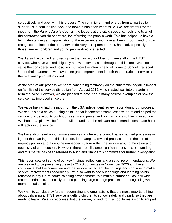so positively and openly in this process. The commitment and energy from all parties to support us in both looking back and forward has been impressive. We are grateful for the input from the Parent Carer's Council, the leaders at the city's special schools and to all of the contracted vehicle operators, for informing the panel's work. This has helped us have a full understanding and appreciation of the experience you have all been through and to truly recognise the impact the poor service delivery in September 2019 has had, especially to those families, children and young people directly affected.

We'd also like to thank and recognise the hard work of the front-line staff in the HTST service, who have worked diligently and with compassion throughout this time. We also value the considered and positive input from the interim head of Home to School Transport. Under their leadership, we have seen great improvement in both the operational service and the relationships of all involved.

At the start of our process we heard concerning testimony on the substantial negative impact on families of the service disruption from August 2019, which lasted well into the autumn term that year. However, we are pleased to have heard many positive examples of how the service has improved since then.

We value having had the input from the LGA independent review report during our process. We see this as a critical turning point, in that it cemented some lessons learnt and helped the service fully develop its continuous service improvement plan, which is still being used now. We hope that plan will be further built on and that the relevant recommendations made here will factor in the service .

We have also heard about some examples of where the council have changed processes in light of the learning from this situation, for example a revised process around the use of urgency powers and a genuine embedded culture within the service around the value and necessity of coproduction. However, there are still some significant questions outstanding and this matter has been referred to Audit and Standard's committee for further investigation.

This report sets out some of our key findings, reflections and a set of recommendations. We are pleased to be presenting these to CYPS committee in November 2020 and have confidence that the committee and the service will accept the findings and continue to make service improvements accordingly. We also want to see our findings and learning points reflected in any future commissioning arrangements. We make a number of 'council wide' recommendations, especially around planning large change projects and recognising when members raise risks.

We want to conclude by further recognising and emphasising that the most important thing about delivering a HTST service is getting children to school safely and calmly so they are ready to learn. We also recognise that the journey to and from school forms a significant part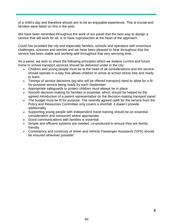of a child's day and therefore should aim to be an enjoyable experience. This is crucial and families were failed on this in the past.

We have been reminded throughout the work of our panel that the best way to design a service that will work for all, is to have coproduction at the heart of the approach.

Covid has provided the city and especially families, schools and operators with enormous challenges, stresses and worries and we have been pleased to hear throughout that the service has been stable and working well throughout that very worrying time.

As a panel, we wish to share the following principles which we believe current and future home to school transport services should be delivered under in the city:

- Children and young people must be at the heart of all considerations and the service should operate in a way that allows children to arrive at school stress free and ready to learn
- Timings of service decisions (eg who will be offered transport) need to allow for a fitfor-purpose service being ready by each September
- Appropriate safeguards to protect children must always be in place
- Smooth decision-making for families is essential, which should be helped by the agreed introduction of a parent representative on the decision-making transport panel
- The budget must be fit for purpose. The recently agreed uplift for the service from the Policy and Resources Committee only covers a shortfall; it doesn't provide additionality
- Supporting young people with independent travel training should be an essential consideration and resourced where appropriate
- Good communications with families is essential
- Simple and efficient systems are needed, co-produced to ensure they are familyfriendly.
- Consistency and continuity of driver and Vehicle Passenger Assistants (VPA) should be ensured wherever possible"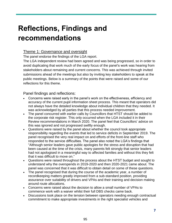## **Reflections, Findings and recommendations**

#### Theme 1: Governance and oversight

The panel endorse the findings of the LGA report.

The LGA independent review had been agreed and was being progressed, so in order to avoid duplicating that work much of the early focus of the panel's work was hearing from stakeholders about remaining and current concerns. This was achieved through invited submissions ahead of the meetings but also by inviting key stakeholders to speak at the public meetings. Below is a summary of the points that were raised and some of our reflections for this theme.

- Concerns were raised early in the panel's work on the effectiveness, efficiency and accuracy of the current pupil information sheet process. This meant that operators did not always have the detailed knowledge about individual children that they needed. It was acknowledged by all parties that this process needed improvement.
- The panel concurred with earlier calls by Councillors that HTST should be added to the corporate risk register. This only occurred when the LGA included it in their Review recommendations in March 2020. The panel feel that Councillors' advice on this was ignored and not progressed swiftly enough.
- Questions were raised by the panel about whether the council took appropriate responsibility regarding the events that led to service deficits in September 2019. The panel recognised the very real impact on and efforts of the front-line staff who responded to the service difficulties. The panel also noted the LGA's findings that "Although senior leaders gave public apologies for the stress and disruption that had been caused at the time of the crisis, many parents felt strongly that senior leaders had not apologised in a meaningful way to affected families and without this they felt that it was difficult to move on."
- Questions were raised throughout the process about the HTST budget and sought to understand why the overspends in 2019-2020 and then 2020-2021 came about. The panel was concerned that it was difficult to obtain detail on some of these questions.
- The panel recognised that during the course of the academic year, a number of recordkeeping matters greatly improved from a sub-standard position, providing assurance over suitability of drivers and VPAs and their training and decision making around route allocations.
- Concerns were raised about the decision to allow a small number of VPAs to commence work with a waiver whilst their full DBS checks came back.
- Discussions took place on the tension between operators needing enough contractual commitment to make appropriate investments in the right specialist vehicles and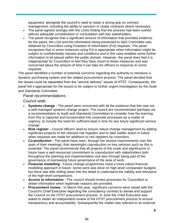equipment, alongside the council's need to retain a strong grip on contract management, including the ability to sanction or cease contracts where necessary.

- The panel agreed strongly with the LGAs finding that the process had been rushed without adequate consideration or consultation with key stakeholders.
- The panel recognise that a significant amount of information that provided evidence for the panel, the LGA and the information being presented to A&S Committee was obtained by Councillors using Freedom of Information (FoI) requests. The panel recognises that in some instances using FoI is appropriate when information might be subject to confidentiality clauses and conditions and in this case enabled some further information to be placed within the public domain. However, the panel does feel it is inappropriate for Councillors to feel they have resort to these measures and was concerned about the amount of time it can take for officers to response to some requests.

The panel identified a number of potential concerns regarding the authority to introduce a dynamic purchasing system and the related procurement process. The panel decided that the issues could be separated from the "service delivery" issues of HTST. Consequently, the panel felt it appropriate for the issues to be subject to further urgent investigation by the Audit and Standards Committee.

Panel recommendations :

Council wide:

- **Systems change -** The panel were concerned with all the evidence that this was not a well-managed systems change project. The council are recommended (perhaps via a recommendation to Audit and Standards Committee) to consider how the learning from this is captured and incorporated into corporate processes as a matter of urgency, to include the need for sufficient lead in time for any future significant service change.
- **Risk register -** Council officers need to ensure robust change management by adding significant projects to the relevant risk registers and to take swifter action in future when requests are made for additions to risk registers by councilors
- **Co-production -** The panel have seen, through the service improvements over the span of their meetings, that meaningful coproduction on key services such as this is essential. The panel recommends that all projects of this scale and significance in future have a well-resourced commitment to coproduction with stakeholders both throughout the planning and implementation and also through being part of the governance of overseeing future governance of the area of work.
- **Financial modelling -** Future change programmes need a more robust financial modelling approach in future. Some work was done on high-level comparator budgets but there was little drilling down into the detail to understand the validity and relevance of the high-level comparisons.
- **Access to information -** The council should review processes for Councillors to obtain information when legitimate reasons are provided.
- **Procurement review**  In March this year, significant concerns were raised with the Council's Chief Executive regarding the consultancy contract to advise and support the Council on the HTST procurement process. In June the Chief Executive was asked to obtain an independent review of the HTST procurement process to ensure transparency and accountability. Subsequently the matter was referred to an external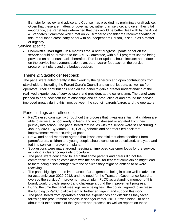Barrister for review and advice and Counsel has provided his preliminary draft advice. Given that these are matters of governance, rather than service, and given their vital importance, the Panel has determined that they would be better dealt with by the Audit & Standards Committee which met on 27 October to consider the recommendation of this Panel that a cross party panel with an Independent Person, is set up as a matter of urgency.

#### Service specific

 **Committee Oversight** - In 6 months time, a brief progress update paper on the service should be provided to the CYPS Committee, with a full progress update being provided on an annual basis thereafter. This fuller update should include: an update on the service improvement action plan, parent/carer feedback on the service, procurement plans and the budget position.

#### Theme 2: Stakeholder feedback

The panel were aided greatly in their work by the generous and open contributions from stakeholders, including the Parent Carer's Council and school leaders, as well as from operators. Their contributions enabled the panel to gain a greater understanding of the real lived experiences of service-users and providers at the current time. The panel were pleased to hear how both the relationships and co-production of and around the service improved greatly during this time, between the council, parents/carers and the operators.

- PaCC raised consistently throughout the process that it was essential that children are able to arrive at school ready to learn, and not distressed or agitated from their journey into school. The panel heard that issues with the service were still occurring in January 2020. By March 2020, PaCC, schools and operators fed back that improvements were occurring at pace.
- PaCC and panel members agreed that it was essential that direct feedback from parent/carers, children and young people should continue to be collated, analysed and fed into service improvement plans.
- Suggestions were made around needing an improved customer focus for the service, including a clearer complaints procedure.
- The panel were concerned to learn that some parents and carers did not feel comfortable in raising complaints with the council for fear that complaining might lead to them being disadvantaged with the services they might be entitled to or were receiving.
- The panel highlighted the importance of arrangements being in place well in advance for academic year 2020-2012, and the need for the Transport Governance Board to oversee the services' improvement action plan. PaCC as a standing member of this board, would provide support and challenge around the improvement progress.
- During the time the panel meetings were being held, the council agreed to increase the funding to PaCC to allow them to further engage in and support this work.
- The panel heard from operators about the experiences and difficulties they faced following the procurement process in spring/summer, 2019. It was helpful to hear about their experiences of the systems and process, as well as reports on these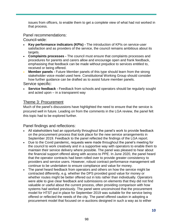issues from officers, to enable them to get a complete view of what had not worked in that process.

Panel recommendations:

Council-wide:

- **Key performance indicators (KPIs) -** The introduction of KPIs on service-user satisfaction and as providers of the service, the council remains ambitious about its targets.
- **Complaints processes -** The council must ensure that complaints processes and procedures for parents and carers allow and encourage open and frank feedback, emphasising that feedback can be made without prejudice to services entitled to, received or being offered.
- **Member panels -** Future Member panels of this type should learn from the strong stakeholder voice model used here. Constitutional Working Group should consider how further guidance can be drafted as to assist future member panels.

Service specific:

 **Service feedback -** Feedback from schools and operators should be regularly sought and acted upon – in a transparent way

#### Theme 3: Procurement

Much of the panel's discussions have highlighted the need to ensure that the service is procured well in future. Leading on from the comments in the LGA review, the panel felt this topic had to be explored further.

- All stakeholders had an opportunity throughout the panel's work to provide feedback on the procurement process that took place for the new service arrangements in September 2019. Feedback to the panel reflected the findings of the LGA report.
- Due to the Covid pandemic, requests were made throughout the panel's meeting for the council to work creatively and in a supportive way with operators to enable them to maintain their service delivery where possible. The panel was pleased to hear about the financial support offered along with access to PPE. In June 2020, the panel heard that the operator contracts had been rolled over to provide greater consistency to providers and service users. However, robust contract performance management will continue to be undertaken to ensure compliance and value for money.
- The panel heard feedback from operators and others on how the service might be contracted differently, e.g. whether the DPS provided good value for money or whether routes might be better offered out in lots rather than individually. Operators were able to give clear feedback and submissions on elements that they did not find valuable or useful about the current process, often providing comparison with how systems had worked previously. The panel were unconvinced that the procurement model for HTST put in place for September 2019 was suitable for the service being offered or reflected the needs of the city. The panel offered caution in adopting a procurement model that focused on e-auctions designed in such a way as to either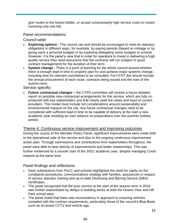give routes to the lowest bidder, or accept unnecessarily high service costs on routes receiving only one bid.

Panel recommendations:

Council-wide:

- **Exploring options -** The council can and should be encouraged to meet its statutory obligations in different ways, for example, by paying parents (based on mileage or by giving each a personal budget) or by exploring delegating some budgets to schools. However, it is the panel's view that in order for operators to invest in delivering a high quality service they need assurance that the contracts will run (subject to good contract management) for the duration of their term.
- **System change -** There is a point of learning for the whole council around whether there is enough lead-in time to properly plan for and achieve major systems change, including time for relevant committees to be consulted. For HTST this should include the annual procurement of each route, contracts being issued and the start of the autumn term.

Service specific:

 **Future contractual changes –** the CYPS committee will receive a future detailed report on possible new contractual arrangements for this service, which are fully coproduced with key stakeholders and that clearly seek the views and input of current providers. This model must include full considerations around sustainability and environmental impacts on the city. Any future contractual changes need to be considered with sufficient lead in time to be capable of delivery at the start a new academic year avoiding an over reliance on preparations over the summer holiday period.

#### Theme 4: Continuous service improvement and improving outcomes

During the course of the Member Policy Panel, significant improvements were made both to the operational side of the service and also to the ongoing continuous improvement action plan. Through submissions and contributions from stakeholders throughout, the panel were able to hear directly of improvements and better relationships. This was further evidenced by a smooth start of the 20/21 academic year, despite managing Covid impacts at the same time.

- Early submissions from PaCC and schools highlighted the need for clarity on the complaints procedures; communications strategy with families; assurances in respect of service operator training and up-to-date Disclosing and Barring Service (DBS) certificates.
- The panel recognised that the poor service at the start of the autumn term in 2019 was further exacerbated by delays in building works at both the Downs View and Hill Park school sites.
- The panel noted that there was inconsistency in approach to ensuring vehicles complied with the contract requirements, particularly those of the council's Blue Book, such as on-board CCTV and vehicle age.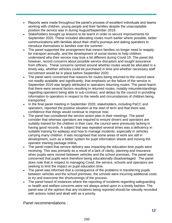- Reports were made throughout the panel's process of excellent individuals and teams working with children, young people and their families despite the unacceptable position the service was in during August/September 2019.
- Stakeholders brought up lessons to be learnt in order to secure improvements for September 2020. These included allocating routes much earlier where possible, better communications with families about their child's journeys and asking operators to introduce themselves to families over the summer.
- The panel supported the arrangement that means families no longer need to reapply for transport annually, and the development of social stories to help children understand why their service may look a bit different during Covid-19. The panel did, however, record concerns about possible service disruption and sought assurance from officers. These concerns centred around whether routes would be allocated in a timely way, whether vehicles could be purchased in time and whether necessary staff recruitment would be in place before September 2020.
- The panel were concerned that reasons for routes being returned to the council were not readily available and significantly, that emphasis on the failure of the service in September 2019 was largely attributed to operators returning routes. The panel learnt that there were several factors resulting in returned routes, notably misunderstandings regarding operators being able to sub-contract, and delays by the council in providing information to operators in respect to the needs and circumstances of children being transported.
- In the final panel meeting in September 2020, stakeholders, including PaCC and operators, reported the positive situation at the start of term and that there was confidence that things would continue to improve now.
- The panel has considered the service action plan in their meetings. The panel consider that whereas operators are required to ensure drivers and operators are suitably trained for the children in their care, the council were previously lacking in having good records. A subject that was repeated several times was a deficiency in suitable training for epilepsy and how to manage incidents, especially in vehicles carrying many children. It was recognised that some areas of work are still in development, such as a better system for pupil information sheets and moving the operator training package online.
- The panel noted that service delivery was impacting the education time pupils were receiving. This was primarily as a result of a lack of clarity, planning and insurance when pupils were moved between vehicles and the school premises. The panel was concerned that pupils were therefore being educationally disadvantaged . The panel does note that in respect to managing Covid, the service, schools and operators are seeking to limit the impact on pupil education time.
- The panel was informed that a consequence of the problems in transferring pupils between vehicles and the school premises, the schools were incurring additional costs to try and overcome the shortcomings of the process.
- The panel heard of instances where the reporting of incidents regarding safeguarding or health and welfare concerns were not always acted upon in a timely fashion. The panel was of the opinion that any incidents being reported should be robustly recorded with actions noted and dealt with as a priority.

Panel recommendations :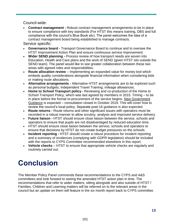Council-wide:

- **Contract management -** Robust contract management arrangements to be in place to ensure compliance with key standards (For HTST this means training, DBS and full compliance with the council's Blue Book etc). The panel welcomes the idea of a contract management board being established to manage contracts. Service specific:
- **Governance board -** Transport Governance Board to continue and to oversee the HTST Improvement Action Plan and ensure continuous service improvement.
- **Wider SEND planning -** Process review of how transport needs are woven into Education, Health and Care plans and the work of SEND (given HTST sits outside the SEND team). The panel would like to see greater collaboration between these two areas with agreed roles and responsibilities.
- **Route allocation review** Implementing an expanded value for money tool which embeds quality considerations alongside financial information when considering bids or making route allocations.
- **Alternative arrangements -** Alternative HTST arrangements are to be explored such as personal budgets; Independent Travel Training; mileage allowances.
- **Home to School Transport policy -** Reviewing and co-production of the Home to School Transport Policy, which was last agreed by members in 2015. Timing – to be in place before the formal re-procurement of the service begins. [New Government](https://consult.education.gov.uk/home-to-school-transport-and-admissions-team/home-to-school-travel-and-transport-statutory-guid/supporting_documents/Draft%20statutory%20guidance%20%20Home%20to%20school%20travel%20and%20transport%20for%20children%20of%20compulsory%20school%20age.pdf)  [Guidance](https://consult.education.gov.uk/home-to-school-transport-and-admissions-team/home-to-school-travel-and-transport-statutory-guid/supporting_documents/Draft%20statutory%20guidance%20%20Home%20to%20school%20travel%20and%20transport%20for%20children%20of%20compulsory%20school%20age.pdf) is expected – consultation closed in October 2019. This will cover how to review the council's local policy. Separate post-16 guidance is also expected.
- **Route returns -** Route returns and other significant issues with operators must be recorded in a robust manner to allow scrutiny, analysis and improved service delivery.
- **Future liaison -** HTST should ensure close liaison between the service, schools and operators to ensure that pupils are not disadvantaged by reduced education time.
- HTST should ensure close liaison between the service, schools and operators to ensure that decisions by HTST do not create budget pressures on the schools.
- **Incident reporting -** HTST should create a robust procedure for incident reporting and a summary of incidences (complying with GDPR legislation) should be included with the reports to CYPS Committee recommended elsewhere in this report.
- **Vehicle checks**  HTST to ensure that appropriate vehicle checks are regularly and routinely carried out.

## **Conclusion**

The Member Policy Panel commends these recommendations to the CYPS and A&S committees and look forward to seeing the amended HTST action plan in time. The recommendations that refer to wider matters, sitting alongside and also outside of HTST / Families, Children and Learning matters will be referred on to the relevant areas in the council but an update on them will feature in the six month report back to CYPS committee.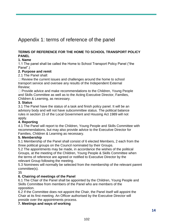## Appendix 1: terms of reference of the panel

#### **TERMS OF REFERENCE FOR THE HOME TO SCHOOL TRANSPORT POLICY PANEL**

#### **1. Name**

1.1 The panel shall be called the Home to School Transport Policy Panel ("the Panel".)

#### **2. Purpose and remit**

2.1 The Panel shall:

 $\Box$  Review the current issues and challenges around the home to school transport service and oversee any results of the Independent External Review;

 $\Box$  Provide advice and make recommendations to the Children, Young People and Skills Committee as well as to the Acting Executive Director, Families, Children & Learning, as necessary.

#### **3. Status**

3.1 The Panel have the status of a task and finish policy panel. It will be an advisory body and will not have subcommittee status. The political balance rules in section 15 of the Local Government and Housing Act 1989 will not apply.

#### **4. Reporting**

4.1 The Panel will report to the Children, Young People and Skills Committee with recommendations, but may also provide advice to the Executive Director for Families, Children & Learning as necessary.

#### **5. Membership**

5.1 Membership of the Panel shall consist of 6 elected Members, 2 each from the three political groups on the Council nominated by their Groups.

5.2 The appointments may be made, in accordance the wishes of the political Groups, at the meeting of the Children, Young People & Skills Committee when the terms of reference are agreed or notified to Executive Director by the relevant Group following the meeting.

5.3 Nominees will normally be selected from the membership of the relevant parent committee(s).

35

#### **6. Chairing of meetings of the Panel**

6.1 The Chair of the Panel shall be appointed by the Children, Young People and Skills Committee from members of the Panel who are members of the opposition.

6.2 If the Committee does not appoint the Chair, the Panel itself will appoint the Chair at its first meeting. An Officer authorised by the Executive Director will preside over the appointments process.

#### **7. Meetings and ways of working**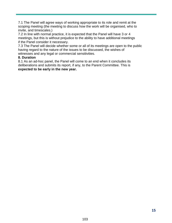7.1 The Panel will agree ways of working appropriate to its role and remit at the scoping meeting (the meeting to discuss how the work will be organised, who to invite, and timescales.)

7.2 In line with normal practice, it is expected that the Panel will have 3 or 4 meetings, but this is without prejudice to the ability to have additional meetings if the Panel consider it necessary.

7.3 The Panel will decide whether some or all of its meetings are open to the public having regard to the nature of the issues to be discussed, the wishes of witnesses and any legal or commercial sensitivities.

#### **8. Duration**

8.1 As an ad-hoc panel, the Panel will come to an end when it concludes its deliberations and submits its report, if any, to the Parent Committee. This is **expected to be early in the new year.**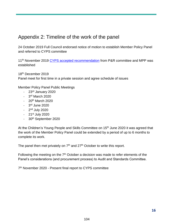### Appendix 2: Timeline of the work of the panel

24 October 2019 Full Council endorsed notice of motion to establish Member Policy Panel and referred to CYPS committee

11<sup>th</sup> November 2019 [CYPS accepted recommendation](https://present.brighton-hove.gov.uk/documents/s146572/Item%2030%201%20Deputation%20NoM%20referred%20from%20Council%2024.10.19.pdf) from P&R committee and MPP was established

18th December 2019 Panel meet for first time in a private session and agree schedule of issues

Member Policy Panel Public Meetings

- $-23<sup>rd</sup>$  January 2020
- 3<sup>rd</sup> March 2020
- $-20^{th}$  March 2020
- 3<sup>rd</sup> June 2020
- 2<sup>nd</sup> July 2020
- $-21$ <sup>st</sup> July 2020
- 30<sup>th</sup> September 2020

At the Children's Young People and Skills Committee on 15<sup>th</sup> June 2020 it was agreed that the work of the Member Policy Panel could be extended by a period of up to 6 months to complete its work.

The panel then met privately on  $7<sup>th</sup>$  and  $27<sup>th</sup>$  October to write this report.

Following the meeting on the  $7<sup>th</sup>$  October a decision was made to refer elements of the Panel's considerations (and procurement process) to Audit and Standards Committee.

7<sup>th</sup> November 2020 - Present final report to CYPS committee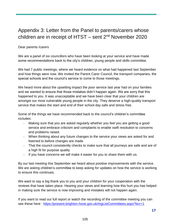## Appendix 3: Letter from the Panel to parents/carers whose children are in receipt of HTST  $-$  sent  $2<sup>nd</sup>$  November 2020

#### Dear parents /carers

We are a panel of six councillors who have been looking at your service and have made some recommendations back to the city's children, young people and skills committee.

We had 7 public meetings, where we heard evidence on what had happened last September and how things were now. We invited the Parent Carer Council, the transport companies, the special schools and the council's service to come to those meetings.

We heard more about the upsetting impact the poor service last year had on your families and we wanted to ensure that those mistakes didn't happen again. We are sorry that this happened to you. It was unacceptable and we have been clear that your children are amongst our most vulnerable young people in the city. They deserve a high-quality transport service that makes the start and end of their school day safe and stress free.

Some of the things we have recommended back to the council's children's committee includes:

- Making sure that you are asked regularly whether you feel you are getting a good service and embrace criticism and complaints to enable swift resolution to concerns and problems raised.
- When thinking about any future changes to the service your views are asked for and listened to before changes are made
- That the council consistently checks to make sure that all journeys are safe and are of a high fit for purpose quality
- If you have concerns we will make it easier for you to share them with us.

By our last meeting this September we heard about positive improvements with the service. We are asking children's committee to keep asking for updates on how the service is working to ensure this continues.

We want to say a big thank you to you and your children for your cooperation with the reviews that have taken place. Hearing your views and learning how this hurt you has helped in making sure the service is now improving and mistakes will not happen again.

If you want to read our full report or watch the recording of the committee meeting you can see these here :<https://present.brighton-hove.gov.uk/mgListCommittees.aspx?bcr=1>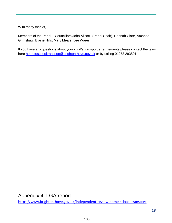With many thanks,

Members of the Panel – Councillors John Allcock (Panel Chair), Hannah Clare, Amanda Grimshaw, Elaine Hills, Mary Mears, Lee Wares

If you have any questions about your child's transport arrangements please contact the team here **hometoschooltransport@brighton-hove.gov.uk** or by calling 01273 293501.

Appendix 4: LGA report <https://www.brighton-hove.gov.uk/independent-review-home-school-transport>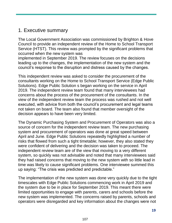## 1. Executive summary

The Local Government Association was commissioned by Brighton & Hove Council to provide an independent review of the Home to School Transport Service (HTST). This review was prompted by the significant problems that occurred when the new system was

implemented in September 2019. The review focuses on the decisions leading up to the changes, the implementation of the new system and the council's response to the disruption and distress caused by the changes.

This independent review was asked to consider the procurement of the consultants working on the Home to School Transport Service (Edge Public Solutions). Edge Public Solution s began working on the service in April 2019. The independent review team found that many interviewees had concerns about the process of the procurement of the consultants. In the view of the independent review team the process was rushed and not well executed, with advice from both the council's procurement and legal teams not taken on board. The team also found that member oversight of the decision appears to have been very limited.

The Dynamic Purchasing System and Procurement of Operators was also a source of concern for the independent review team. The new purchasing system and procurement of operators was done at great speed between April and June. Edge Public Solutions repeatedly highlighted a number of risks that flowed from such a tight timetable; however, they also stated they were confident of delivering and the decision was taken to proceed. The independent review team are of the view that moving to a very different system, so quickly was not advisable and noted that many interviewees said they had raised concerns that moving to the new system with so little lead in time was likely to cause significant problems. One interviewee summed this up saying: "The crisis was predicted and predictable."

The implementation of the new system was done very quickly due to the tight timescales with Edge Public Solutions commencing work in April 2019 and the system due to be in place for September 2019. This meant there were limited opportunities to engage with parents, carers and schools before the new system was implemented. The concerns raised by parents, schools and operators were disregarded and key information about the changes were not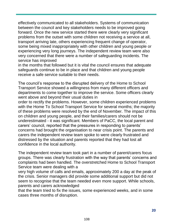effectively communicated to all stakeholders. Systems of communication between the council and key stakeholders needs to be improved going forward. Once the new service started there were clearly very significant problems from the outset with some children not receiving a service at all, transport arriving late, others experiencing frequent change of operator, some being mixed inappropriately with other children and young people or experiencing very long journeys. The independent review team were also very concerned that there were a number of safeguarding incidents. The service has improved

in the months that followed but it is vital the council ensures that adequate safeguards continue to be in place and that children and young people receive a safe service suitable to their needs.

The council's response to the disrupted delivery of the Home to School Transport Service showed a willingness from many different officers and departments to come together to improve the service. Some officers clearly went above and beyond their usual duties in

order to rectify the problems. However, some children experienced problems with the Home To School Transport Service for several months; the majority of these problems were resolved by the end of November. The impact of this on children and young people, and their families/carers should not be underestimated - it was significant. Members of PaCC, the local parent and carers' council, reported that the pressures in responding to parents' concerns had brought the organisation to near crisis point. The parents and carers the independent review team spoke to were clearly frustrated and distressed by the situation and parents reported that they had lost all confidence in the local authority.

The independent review team took part in a number of parent/carers focus groups. There was clearly frustration with the way that parents' concerns and complaints had been handled. The overstretched Home to School Transport Service team were dealing with a

very high volume of calls and emails, approximately 200 a day at the peak of the crisis. Senior managers did provide some additional support but did not seem to recognise that the team needed even more support. While schools, parents and carers acknowledged

that the team tried to fix the issues, some experienced weeks, and in some cases three months of disruption.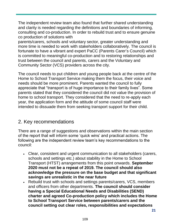The independent review team also found that further shared understanding and clarity is needed regarding the definitions and boundaries of informing, consulting and co-production. In order to rebuild trust and to ensure genuine co production of solutions with

parents/carers, schools and voluntary sector, greater understanding and more time is needed to work with stakeholders collaboratively. The council is fortunate to have a vibrant and expert PaCC (Parents Carer's Council) which is committed to meaningful co-production and to restoring relationships and trust between the council and parents, carers and the Voluntary and Community Sector (VCS) providers across the city.

The council needs to put children and young people back at the centre of the Home to School Transport Service making them the focus, their voice and needs should be more prominent. Parents wanted the council to fully appreciate that "transport is of huge importance to their family lives". Some parents stated that they considered the council did not value the provision of home to school transport. They considered that the need to re-apply each year, the application form and the attitude of some council staff were intended to dissuade them from seeking transport support for their child.

### 2. Key recommendations

There are a range of suggestions and observations within the main section of the report that will inform some 'quick wins' and practical actions. The following are the independent review team's key recommendations to the council:

- Clear, consistent and urgent communication to all stakeholders (carers, schools and settings etc.) about stability in the Home to School Transport (HTST) arrangements from this point onwards. **September 2020 must not be a repeat of 2019. The council should also acknowledge the pressure on the base budget and that significant savings are unrealistic in the near future**
- Rebuild trust with schools and settings parents/carers, VCS, members and officers from other departments. **The council should consider having a Special Educational Needs and Disabilities (SEND) charter and agreed Co-production policy which includes the Home to School Transport Service between parents/carers and the council setting out clear roles, responsibilities and expectations**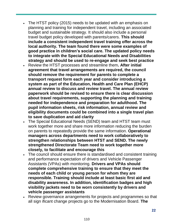- The HTST policy (2015) needs to be updated with an emphasis on planning and training for independent travel, including an associated budget and sustainable strategy. It should also include a personal travel budget policy developed with parents/carers. **This should include a consistent independent travel training offer across the local authority. The team found there were some examples of good practice in children's social care. The updated policy needs to integrate with the Special Educational Needs and Disabilities strategy and should be used to re-engage and seek best practice**
- Review the HTST processes and streamline them**. After initial agreement that travel arrangements are required, the council should remove the requirement for parents to complete a transport request form each year and consider introducing a system as part of the Education, Health and Care Plan (EHCP) annual review to discuss and review travel. The annual review paperwork should be revised to ensure there is clear discussion about travel requirements, supporting the planning and training needed for independence and preparation for adulthood. The pupil information sheets, risk information, annual review and eligibility documents could be combined into a single travel plan to save duplication and aid clarity**
- The Special Educational Needs (SEND) team and HTST team must work together more and share more information reducing the burden on parents to repeatedly provide the same information. **Operational managers across departments need to work collaboratively to strengthen relationships between HTST and SEND. The newly strengthened Directorate Team need to work together more closely, to facilitate and encourage this**
- The council should ensure there is standardised and consistent training and performance expectation of drivers and Vehicle Passenger Assistants (VPAs) with monitoring. **Drivers and VPAs should complete comprehensive training to ensure that they meet the needs of each child or young person for whom they are responsible. Training should include at least basic first aid and disability awareness. In addition, identification badges and high visibility jackets need to be worn consistently by drivers and vehicle passenger assistants**
- Review governance arrangements for projects and programmes so that all sign ificant change projects go to the Modernisation Board. **The**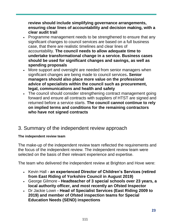**review should include simplifying governance arrangements, ensuring clear lines of accountability and decision making, with a clear audit trail**

- Programme management needs to be strengthened to ensure that any significant changes to council services are based on a full business case, that there are realistic timelines and clear lines of accountability. **The council needs to allow adequate time to undertake transformational change in a service. Business cases should be used for significant changes and savings, as well as spending proposals**
- More support and oversight are needed from senior managers when significant changes are being made to council services**. Senior managers should also place more value on the professional advice of specialists within the council such as procurement, legal, communications and health and safety**
- The council should consider strengthening contract management going forward and ensure all contracts with suppliers of HTST are signed and returned before a service starts. **The council cannot continue to rely on implied terms and conditions for the remaining contractors who have not signed contracts**

### 3. Summary of the independent review approach

#### **The independent review team**

The make-up of the independent review team reflected the requirements and the focus of the independent review. The independent review team were selected on the basis of their relevant experience and expertise.

The team who delivered the independent review at Brighton and Hove were:

- Kevin Hall **- an experienced Director of Children's Services (retired from East Riding of Yorkshire Council in August 2019)**
- George Gilmore **- Headteacher of 3 special schools over 23 years, a local authority officer, and most recently an Ofsted Inspector**
- Dr Jackie Lown **- Head of Specialist Services (East Riding 2009 to 2019) and member of Ofsted inspection teams for Special Education Needs (SEND) inspections**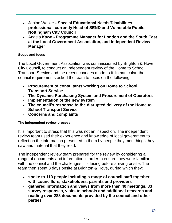- Janine Walker **- Special Educational Needs/Disabilities professional, currently Head of SEND and Vulnerable Pupils, Nottingham City Council**
- Angela Kawa **- Programme Manager for London and the South East at the Local Government Association, and Independent Review Manager**

#### **Scope and focus**

The Local Government Association was commissioned by Brighton & Hove City Council, to conduct an independent review of the Home to School Transport Service and the recent changes made to it. In particular, the council requirements asked the team to focus on the following:

- **Procurement of consultants working on Home to School Transport Service**
- **The Dynamic Purchasing System and Procurement of Operators**
- **Implementation of the new system**
- **The council's response to the disrupted delivery of the Home to School Transport Service**
- **Concerns and complaints**

#### **The independent review process**

It is important to stress that this was not an inspection. The independent review team used their experience and knowledge of local government to reflect on the information presented to them by people they met, things they saw and material that they read.

The independent review team prepared for the review by considering a range of documents and information in order to ensure they were familiar with the council and the challenges it is facing before arriving onsite. The team then spent 3 days onsite at Brighton & Hove, during which they:

- **spoke to 113 people including a range of council staff together with councillors, stakeholders, parents and providers**
- **gathered information and views from more than 40 meetings, 33 survey responses, visits to schools and additional research and reading over 288 documents provided by the council and other parties**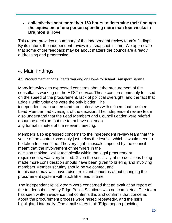#### **collectively spent more than 150 hours to determine their findings the equivalent of one person spending more than four weeks in Brighton & Hove**

This report provides a summary of the independent review team's findings. By its nature, the independent review is a snapshot in time. We appreciate that some of the feedback may be about matters the council are already addressing and progressing.

## 4. Main findings

#### **4.1. Procurement of consultants working on Home to School Transport Service**

Many interviewees expressed concerns about the procurement of the consultants working on the HTST service. These concerns primarily focused on the speed of the procurement, lack of political oversight, and the fact that Edge Public Solutions were the only bidder. The independent team understand from interviews with officers that the then

Lead Member had oversight of the decision. The independent review team also understand that the Lead Members and Council Leader were briefed about the decision, but the team have not seen any formal minutes of the relevant meeting.

Members also expressed concerns to the independent review team that the value of the contract was only just below the level at which it would need to be taken to committee. The very tight timescale imposed by the council meant that the involvement of members in the decision making, whilst technically within the legal procurement requirements, was very limited. Given the sensitivity of the decisions being made more consideration should have been given to briefing and involving members Member scrutiny should be welcomed, and in this case may well have raised relevant concerns about changing the procurement system with such little lead in time.

The independent review team were concerned that an evaluation report of the tender submitted by Edge Public Solutions was not completed. The team has seen written evidence that confirms this and confirms that concerns about the procurement process were raised repeatedly, and the risks highlighted internally. One email states that: 'Edge began providing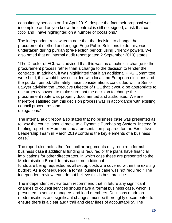consultancy services on 1st April 2019, despite the fact their proposal was incomplete and as you know the contract is still not signed, a risk that xx xxxx and I have highlighted on a number of occasions.'

The independent review team note that the decision to change the procurement method and engage Edge Public Solutions to do this, was undertaken during purdah (pre-election period) using urgency powers. We also noted that an internal audit report (dated 2 September 2019) states:

"The Director of FCL was advised that this was as a technical change to the procurement process rather than a change to the decision to tender the contracts. In addition, it was highlighted that if an additional PRG Committee were held, this would have coincided with local and European elections and the purdah period. Ultimately these considerations concluded with a Senior Lawyer advising the Executive Director of FCL that it would be appropriate to use urgency powers to make sure that the decision to change the procurement route was properly documented and authorised. We are therefore satisfied that this decision process was in accordance with existing council procedures and delegations."

The internal audit report also states that no business case was presented as to why the council should move to a Dynamic Purchasing System. Instead "a briefing report for Members and a presentation prepared for the Executive Leadership Team in March 2019 contains the key elements of a business case."

The report also notes that "council arrangements only require a formal business case if additional funding is required or the plans have financial implications for other directorates, in which case these are presented to the Modernisation Board. In this case, no additional funds are being requested as all set up costs are covered within the existing

budget. As a consequence, a formal business case was not required." The independent review team do not believe this is best practice.

The independent review team recommend that in future any significant changes to council services should have a formal business case, which is presented to senior managers and lead members. Decisions made on modernisations and significant changes must be thoroughly documented to ensure there is a clear audit trail and clear lines of accountability. The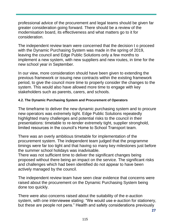professional advice of the procurement and legal teams should be given far greater consideration going forward. There should be a review of the modernisation board, its effectiveness and what matters go to it for consideration.

The independent review team were concerned that the decision t o proceed with the Dynamic Purchasing System was made in the spring of 2019, leaving the council and Edge Public Solutions only a few months to implement a new system, with new suppliers and new routes, in time for the new school year in September.

In our view, more consideration should have been given to extending the previous framework or issuing new contracts within the existing framework period, to give the council more time to properly consider the changes to the system. This would also have allowed more time to engage with key stakeholders such as parents, carers, and schools.

#### **4.2. The Dynamic Purchasing System and Procurement of Operators**

The timeframe to deliver the new dynamic purchasing system and to procure new operators was extremely tight. Edge Public Solutions repeatedly highlighted many challenges and potential risks to the council in their presentations: timetable to re-tender extremely tight, supplier stronghold, limited resources in the council's Home to School Transport team.

There was an overly ambitious timetable for implementation of the procurement system. The independent team judged that the programme timings were far too tight and that having so many key milestones just before the summer school holidays was inadvisable.

There was not sufficient time to deliver the significant changes being proposed without there being an impact on the service. The significant risks and challenges which had been identified do not appear to have been actively managed by the council.

The independent review team have seen clear evidence that concerns were raised about the procurement on the Dynamic Purchasing System being done too quickly.

There were also concerns raised about the suitability of the e-auction system, with one interviewee stating: "We would use e-auction for stationery, but these are people not pens." Health and safety considerations previously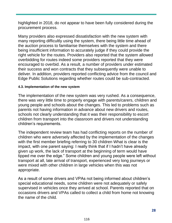highlighted in 2018, do not appear to have been fully considered during the procurement process.

Many providers also expressed dissatisfaction with the new system with many reporting difficultly using the system, there being little time ahead of the auction process to familiarise themselves with the system and there being insufficient information to accurately judge if they could provide the right vehicle for the routes. Providers also reported that the system allowed overbidding for routes indeed some providers reported that they were encouraged to overbid. As a result, a number of providers under estimated their success and won contracts that they subsequently were unable to deliver. In addition, providers reported conflicting advice from the council and Edge Public Solutions regarding whether routes could be sub-contracted.

#### **4.3. Implementation of the new system**

The implementation of the new system was very rushed. As a consequence, there was very little time to properly engage with parents/carers, children and young people and schools about the changes. This led to problems such as parents not having information in advance about new drivers and routes, schools not clearly understanding that it was their responsibility to escort children from transport into the classroom and drivers not understanding children's requirements.

The independent review team has had conflicting reports on the number of children who were adversely affected by the implementation of the changes with the first member briefing referring to 30 children What is clear is the impact, with one parent saying: I really think that if I hadn't have already given up work, the lack of transport at the beginning of term would have tipped me over the edge." Some children and young people were left without transport at all, late arrival of transport, experienced very long journeys or were mixed with other children in large vehicles when this was not appropriate.

As a result of some drivers and VPAs not being informed about children's special educational needs, some children were not adequately or safely supervised in vehicles once they arrived at school. Parents reported that on occasions drivers and VPAs called to collect a child from home not knowing the name of the child.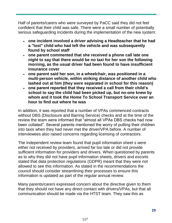Half of parents/carers who were surveyed by PaCC said they did not feel confident that their child was safe. There were a small number of potentially serious safeguarding incidents during the implementation of the new system:

- **one incident involved a driver advising a Headteacher that he had a "lost" child who had left the vehicle and was subsequently found by school staff**
- **one parent commented that she received a phone call late one night to say that there would be no taxi for her son the following morning, as the usual driver had been found to have insufficient insurance cover**
- **one parent said her son, in a wheelchair, was positioned in a multi-person vehicle, within striking distance of another child who lashed out at him (they were separated in school for this reason)**
- **one parent reported that they received a call from their child's school to say the child had been picked up, but no-one knew by whom and it took the Home To School Transport Service over an hour to find out where he was**

In addition, it was reported that a number of VPAs commenced contracts without DBS (Disclosure and Barring Service) checks and at the time of the review the team were informed that "almost all VPAs DBS checks had now been collated". Several parents mentioned the worry of putting their children into taxis when they had never met the driver/VPA before. A number of interviewees also raised concerns regarding licensing of contractors.

The independent review team found that pupil information sheet s were either not received by providers, arrived far too late or did not provide sufficient information for providers and drivers. When questioned by parents as to why they did not have pupil information sheets, drivers and escorts stated that data protection regulations (GDPR) meant that they were not allowed to see this information. As stated in the recommendations the council should consider streamlining their processes to ensure this information is updated as part of the regular annual review.

Many parents/carers expressed concern about the directive given to them that they should not have any direct contact with drivers/VPAs, but that all communication should be made via the HTST team. They saw this as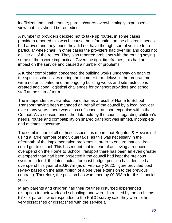inefficient and cumbersome; parents/carers overwhelmingly expressed a view that this should be remedied.

A number of providers decided not to take up routes, in some cases providers reported this was because the information on the children's needs had arrived and they found they did not have the right sort of vehicle for a particular wheelchair, in other cases the providers had over bid and could not deliver all of the routes. They also reported problems with the routing saying some of them were impractical. Given the tight timeframes, this had an impact on the service and caused a number of problems.

A further complication concerned the building works underway on each of the special school sites during the summer term delays in the programme were not anticipated and the ongoing building works and site restrictions created additional logistical challenges for transport providers and school staff at the start of term.

The independent review also found that as a result of Home to School Transport having been managed on behalf of the council by a local provider over many years, there was a loss of school transport expertise within the Council. As a consequence, the data held by the council regarding children's needs, routes and compatibility on shared transport was limited, incomplete and at times inaccurate.

The combination of all of these issues has meant that Brighton & Hove is still using a large number of individual taxis, as this was necessary in the aftermath of the implementation problems in order to ensure that children could get to school. This has meant that instead of achieving a reduced overspend on the Home to School Transport there has been an even greater overspend than had been projected if the council had kept the previous system. Indeed, the latest actual forecast budget position has identified an overspend this year of £0.967m (as of February 2020, figure provided post review based on the assumption of a one year extension to the previous contract). Therefore, the position has worsened by £0.393m for this financial year.

M any parents and children had their routines disturbed experienced disruption to their work and schooling, and were distressed by the problems 57% of parents who responded to the PaCC survey said they were either very dissatisfied or dissatisfied with the service a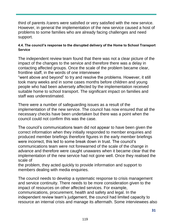third of parents /carers were satisfied or very satisfied with the new service. However, in general the implementation of the new service caused a host of problems to some families who are already facing challenges and need support.

#### **4.4. The council's response to the disrupted delivery of the Home to School Transport Service**

The independent review team found that there was not a clear picture of the impact of the changes to the service and therefore there was a delay in contacting affected groups. Once the scale of the problem became clear, frontline staff, in the words of one interviewee

"went above and beyond" to try and resolve the problems. However, it still took many weeks and in some cases months before children and young people who had been adversely affected by the implementation received suitable home to school transport. The significant impact on families and staff was underestimated.

There were a number of safeguarding issues as a result of the implementation of the new service. The council has now ensured that all the necessary checks have been undertaken but there was a point when the council could not confirm this was the case.

The council's communications team did not appear to have been given the correct information when they initially responded to member enquiries and produced member briefings therefore figures in the early member briefings were incorrect, this led to some break down in trust. The council's communications team were not forewarned of the scale of the change in advance and therefore were caught unawares when it became clear that the implementation of the new service had not gone well. Once they realised the scale of

the problem, they acted quickly to provide information and support to members dealing with media enquiries.

The council needs to develop a systematic response to crisis management and service continuity. There needs to be more consideration given to the impact of resources on other affected services. For example, communications, procurement, health and safety and legal. In the independent review team's judgement, the council had limited capacity to resource an internal crisis and manage its aftermath. Some interviewees also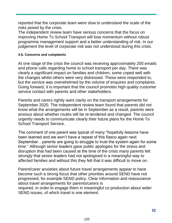reported that the corporate team were slow to understand the scale of the risks posed by the crisis.

The independent review team have serious concerns that the focus on improving Home To School Transport will lose momentum without robust programme management support and a better understanding of risk. In our judgement the level of corporate risk was not understood during this crisis.

#### **4.5. Concerns and complaints**

At one stage of the crisis the council was receiving approximately 200 emails and phone calls regarding home to school transport per day. There was clearly a significant impact on families and children, some coped well with the changes whilst others were very distressed. These were responded to, but the service was overwhelmed by the volume of enquires and complaints. Going forward, it is important that the council promotes high quality customer service contact with parents and other stakeholders.

Parents and carers rightly want clarity on the transport arrangements for September 2020. The independent review team found that parents did not know what the arrangements will be in September as a result, parents were anxious about whether routes will be re-tendered and changed. The council urgently needs to communicate clearly their future plans for the Home To School Transport Service.

The comment of one parent was typical of many "hopefully lessons have been learned and we won't have a repeat of this fiasco again next September…parents are going to struggle to trust the system again for some time." Although senior leaders gave public apologies for the stress and disruption that had been caused at the time of the crisis many parents felt strongly that senior leaders had not apologised in a meaningful way to affected families and without this they felt that it was difficult to move on.

Parent/carer anxieties about future travel arrangements appear to have become such a strong focus that other priorities around SEND have not progressed, for example SEND policy. Clear information and reassurance about travel arrangements for parents/carers is required, in order to engage them in meaningful co production about wider SEND issues, of which travel is one element.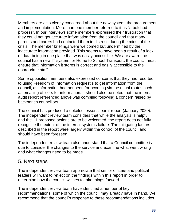Members are also clearly concerned about the new system, the procurement and implementation. More than one member referred to it as "a botched process". In our interviews some members expressed their frustration that they could not get accurate information from the council and that many parents and carers had contacted them in distress during the midst of the crisis. The member briefings were welcomed but undermined by the inaccurate information provided. This seems to have been a result of a lack of data being in one place that was easily accessible. We are aware the council has a new IT system for Home to School Transport, the council must ensure that information it stores is correct and easily accessible to the appropriate staff.

Some opposition members also expressed concerns that they had resorted to using Freedom of Information request s to get information from the council, as information had not been forthcoming via the usual routes such as emailing officers for information. It should also be noted that the internal audit report referenced above was compiled following a concern raised by backbench councillors.

The council has produced a detailed lessons learnt report (January 2020). The independent review team considers that while the analysis is helpful, and the 11 proposed actions are to be welcomed, the report does not fully recognise the extent of the internal systems failure. The mitigating factors described in the report were largely within the control of the council and should have been foreseen.

The independent review team also understand that a Council committee is due to consider the changes to the service and examine what went wrong and what changes need to be made.

### 5. Next steps

The independent review team appreciate that senior officers and political leaders will want to reflect on the findings within this report in order to determine how the council wishes to take things forward.

The independent review team have identified a number of key recommendations, some of which the council may already have in hand. We recommend that the council's response to these recommendations includes